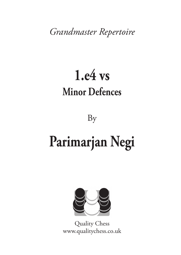*Grandmaster Repertoire*

### **[1.e4 vs](https://www.qualitychess.co.uk/products/1/382/grandmaster_repertoire_-_1e4_vs_minor_defences_by_parimarjan_negi/) [Minor Defences](https://www.qualitychess.co.uk/products/1/382/grandmaster_repertoire_-_1e4_vs_minor_defences_by_parimarjan_negi/)**

[By](https://www.qualitychess.co.uk/products/1/382/grandmaster_repertoire_-_1e4_vs_minor_defences_by_parimarjan_negi/)

## **[Parimarjan Negi](https://www.qualitychess.co.uk/products/1/382/grandmaster_repertoire_-_1e4_vs_minor_defences_by_parimarjan_negi/)**



[Quality Chess](https://www.qualitychess.co.uk/) [www.qualitychess.co.uk](https://www.qualitychess.co.uk/)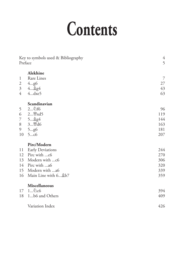# **Contents**

| Key to symbols used & Bibliography<br>Preface |                       | $\overline{4}$<br>5 |
|-----------------------------------------------|-----------------------|---------------------|
|                                               | Alekhine              |                     |
| $\mathbf{1}$                                  | Rare Lines            | 7                   |
| $\mathfrak{2}$                                | 4g6                   | 27                  |
| $\mathfrak{Z}$                                | $4$ $254$             | 43                  |
| $\overline{4}$                                | $4$ dxe5              | 63                  |
|                                               | Scandinavian          |                     |
| 5                                             | 2公f6                  | 96                  |
| 6                                             | 2 曾xd5                | 119                 |
| 7                                             | 5…… \$g4              | 144                 |
| $8\,$                                         | 3 <sup>11</sup> d6    | 163                 |
| 9                                             | 5g6                   | 181                 |
| 10                                            | 5c6                   | 207                 |
|                                               | Pirc/Modern           |                     |
| 11                                            | Early Deviations      | 244                 |
| 12                                            | Pirc with c6          | 270                 |
| 13                                            | Modern with c6        | 306                 |
| 14                                            | Pirc with a6          | 320                 |
| 15                                            | Modern with a6        | 339                 |
| 16                                            | Main Line with 6 \$b7 | 359                 |
|                                               | Miscellaneous         |                     |
| 17                                            | $1\&0c6$              | 394                 |
| 18                                            | 1b6 and Others        | 409                 |
|                                               | Variation Index       | 426                 |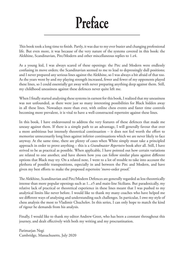### **Preface**

This book took a long time to finish. Partly, it was due to my ever busier and changing professional life. But even more, it was because of the very nature of the systems covered in this book: the Alekhine, Scandinavian, Pirc/Modern and other miscellaneous replies to 1.e4.

As a young kid, I was always scared of these openings: the Pirc and Modern were endlessly confusing in move orders; the Scandinavian seemed to me to lead to depressingly dull positions; and I never prepared any serious lines against the Alekhine, so I was always a bit afraid of that too. As the years went by and my playing strength increased, fewer and fewer of my opponents played these lines, so I could essentially get away with never preparing anything deep against them. Still, my childhood uneasiness against these defences never quite left me.

When I finally started analysing these systems in earnest for this book, I realized that my uneasiness was not unfounded, as there were just so many interesting possibilities for Black hidden away in all these lines. Nowadays more than ever, with online chess events and faster time controls becoming more prevalent, it is vital to have a well-constructed repertoire against these lines.

In this book, I have endeavoured to address the very features of these defences that made me uneasy against them. If there is a simple path to an advantage, I will generally favour that over a more ambitious but intensely theoretical continuation – it does not feel worth the effort to memorize unnecessarily long lines against inferior continuations which we are never likely to face anyway. At the same time, there are plenty of cases when White simply must take a principled approach in order to prove anything – this is a *Grandmaster Repertoire* book after all. Still, I have strived to be as practical as possible. When applicable, I have pointed out how certain variations are related to one another, and have shown how you can follow similar plans against different options that Black may try. On a related note, I went to a lot of trouble to take into account the plethora of possible transpositions, especially in and between the Pirc and Modern, and have given my best efforts to make the proposed repertoire 'move-order proof.'

The Alekhine, Scandinavian and Pirc/Modern Defences are generally regarded as less theoretically intense than more popular openings such as 1...e5 and main-line Sicilians. But paradoxically, my relative lack of practical or theoretical experience in these lines meant that I was pushed to my analytical limits like never before. I would like to thank my many coaches who have helped me see different ways of analysing and understanding such challenges. In particular, I owe my style of chess analysis the most to Vladimir Chuchelov. In this series, I can only hope to match the kind of rigour he demands from his analysis.

Finally, I would like to thank my editor Andrew Greet, who has been a constant throughout this journey, and dealt effectively with both my writing and my procrastination.

Parimarjan Negi Cambridge, Massachusetts, July 2020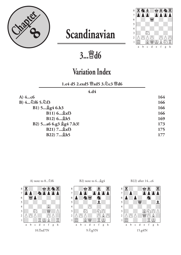

### **Scandinavian**



**3...£d6**

### **Variation Index**

**1.e4 d5 2.exd5 £xd5 3.¤c3 £d6** 

**4.d4**

| 164 |
|-----|
| 166 |
| 166 |
| 166 |
| 169 |
| 173 |
| 175 |
| 177 |
|     |





B2) note to 6... \$g4



B22) after 14...c6

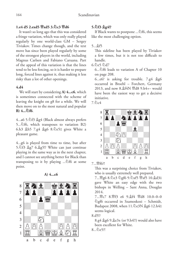#### **1.e4 d5 2.exd5 £xd5 3.¤c3 £d6**

It wasn't so long ago that this was considered a fringe variation, which was only really played regularly by one world-class GM – Sergey Tiviakov. Times change though, and the text move has since been played regularly by some of the strongest players in the world, including Magnus Carlsen and Fabiano Caruana. Part of the appeal of this variation is that the lines tend to be less forcing, so it is harder to prepare long, forced lines against it, thus making it less risky than a lot of other openings.

#### **4.d4**

We will start by considering **A) 4...c6**, which is sometimes connected with the scheme of leaving the knight on g8 for a while. We will then move on to the most natural and popular **B) 4...¤f6**.

4...a6 5. Df3 \$g4 (Black almost always prefers 5... $\triangle$ f6, which transposes to variation B2) 6.h3  $h$ 5 7.g4  $h$ g6 8. $h$ e5 $\pm$  gives White a pleasant game.

4...g6 is played from time to time, but after 5.¤f3 ¥g7 6.¥g5!? White can just continue playing in the same way as in the next chapter, and I cannot see anything better for Black than transposing to it by playing ... $\triangle$ f6 at some point.



**A) 4...c6** 

#### **5.¤f3 ¥g4!?**

If Black wants to postpone  $\ldots\textcircled{2}$ f6, this seems like the most challenging option.

#### 5...¥f5

This sideline has been played by Tiviakov a few times, but it is not too difficult to handle.

#### $6.6$ e5  $6/17$

6...<sup>5</sup>f6 leads to variation A of Chapter 10 on page 208.

6...e6? is asking for trouble. 7.g4  $\&$ g6 occurred in Broehl – Forchert, Germany 2013, and now 8.¥f4N £d8 9.h4+– would have been the easiest way to get a decisive initiative.

 $7.6c4$ 



7...£f6?!

This was a surprising choice from Tiviakov, who is usually extremely well prepared.

7...  $\mathbb{F}$ g6 8. De3 Dgf6 9. Dxf5  $\mathbb{F}$ xf5 10.  $\&$ d3 $\pm$ gave White an easy edge with the two bishops in Welling – Sant Anna, Douglas 2014.

7...£c7 8.£f3 e6 9.¥f4 £d8 10.0–0–0 ¤gf6 occurred in Szamoskozi – Schmidt, Budapest 2008, when  $11.\text{\textdegree$\triangle}$ e3N  $\text{\textdegree$\triangle$}$ g6 12.h4 $\pm$ seems logical.

8.d5!?

8.g4  $\&$ g6 9. $\&$ e3± (or 9.h4!?) would also have been excellent for White.

 $8...$  $9e5$ ?!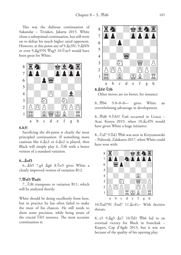This was the dubious continuation of Sukandar – Tiviakov, Jakarta 2015. White chose a suboptimal continuation, but still went on to defeat his much higher rated opponent. However, at this point any of 9. e3N, 9. e4N or even  $9.\n$ g5!?N  $\mathcal{W}$ xg5 10. $\mathcal{D}$ xe5 would have been great for White.



#### **6.h3!**

Sacrificing the d4-pawn is clearly the most principled continuation. If something more cautious like 6. e3 or 6. e2 is played, then Black will simply play  $6...\&6$  with a better version of a standard variation.

#### **6...¥xf3**

6... \$h5 7.g4 \$g6 8. De5 gives White a clearly improved version of variation B12.

#### **7.£xf3 £xd4**

7... $\triangle$ f6 transposes to variation B11, which will be analysed shortly.

White should be doing excellently from here, but in practice he has often failed to make the most of his chances. He still needs to show some precision, while being aware of the crucial  $\hat{\varphi}$ b5 resource. The most accurate continuation is:



#### **8.¥f4! ¤f6**

Other moves are no better, for instance:

8...<sup>™</sup>b6 9.0–0–0+– gives White an overwhelming advantage in development.

8... $^{18}$ d8 9. $\circ$ h5!  $\circ$ a6 occurred in Ucucu – Acar, Konya 2019, when 10. c4!N would have given White a huge initiative.

8... $\Delta$ d7 9. $\mathbb{Z}$ d1  $\mathbb{W}$ b6 was seen in Krzyzanowski – Pultorak, Zalakaros 2017, when White could have won with:



 $10.\mathbb{Z} \text{xd7}$ !N  $\& \text{xd7}$  11. $\& \text{c4}$ !+- With decisive threats.

8...e5 9. g5 ge7 10.<sup>1</sup>d1 \be led to an eventual victory for Black in Ivanchuk – Karpov, Cap d'Agde 2013, but it was not because of the quality of his opening play.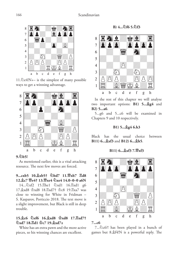

 $11.\&e4!N+-$  is the simplest of many possible ways to get a winning advantage.



#### **9.¤b5!**

As mentioned earlier, this is a vital attacking resource. The next few moves are forced.

#### **9...cxb5 10.¥xb5† ¤bd7 11.£xb7 ¦d8 12.¥c7 £e4† 13.£xe4 ¤xe4 14.0–0–0 a6N**

14... <sup>2</sup>xf2 15. Ehe1 <sup>2</sup>xd1 16. Exd1 g6 17. xd8  $\&$ xd8 18.  $\&$ xd7†  $\&$ c8 19.  $\&$ xa7 was close to winning for White in Fridman – S. Kasparov, Porticcio 2018. The text move is a slight improvement, but Black is still in deep trouble.

#### **15.¥c6 ¤ef6 16.¥xd8 ¢xd8 17.¦xd7† ¤xd7 18.¦d1 ¢c7 19.¥xd7±**

White has an extra pawn and the more active pieces, so his winning chances are excellent.

**B) 4...¤f6 5.¤f3**



In the rest of this chapter we will analyse two important options: **B1) 5...¥g4** and **B2) 5...a6**.

5...g6 and 5...c6 will be examined in Chapters 9 and 10 respectively.

#### **B1) 5...¥g4 6.h3**

Black has the usual choice between **B11) 6...¥xf3** and **B12) 6...¥h5**.

B11) 6...
$$
\&
$$
xf3 7.  $\mathbb{Z}xf3$ 



 $7...\&c6$ ?! has been played in a bunch of games but 8.¥f4!N is a powerful reply. The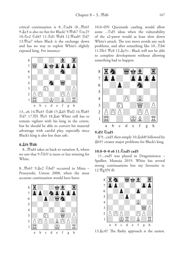critical continuation is  $8...\& \lambda x d4$   $(8...\& e6)$ 9. ge3 is also no fun for Black)  $9.$   $\sqrt[8]{2}$ xb7  $\sqrt[6]{2}$ xc2† 10. c2 2d4† 11. cd1 @xf4 12. @xa8† cd7 13.£xa7 when Black is the exchange down and has no way to exploit White's slightly exposed king. For instance:



13...e6 14. @a4† \$d8 15. gd3 @xf2 16. @a8† **空d7 17. f1 曾e3 18. ga6 White still has to** remain vigilant with his king in the centre, but he should be able to convert his material advantage with careful play, especially since Black's king is also less than safe.

#### **8.¥f4 £d8**

8... Wixd4 takes us back to variation A, where we saw that  $9.\&05!$  is more or less winning for White.

8... \cdot 9. \cdot 2 \cdot 2 bd7 occurred in Mista -Proszynski, Ustron 2008, when the most accurate continuation would have been:



10.0–0!N Queenside castling would allow some ... 4d5 ideas when the vulnerability of the a2-pawn would at least slow down White's attack. The text move avoids any such problems, and after something like 10... Db6 11. lfe1 曾c8 12. ge5+– Black will not be able to complete development without allowing something bad to happen.



#### **9.d5! ¤xd5**

If 9... $cxd5$  then simply 10. $\&xbb$ shes! followed by ¥b5† creates major problems for Black's king.

#### **10.0–0–0 e6 11.¤xd5 cxd5**

11...exd5 was played in Dragomirescu – Spulber, Mamaia 2019. White has several strong continuations but my favourite is: 12. 曾g3!N f6



13. c4!? The flashy approach is the easiest.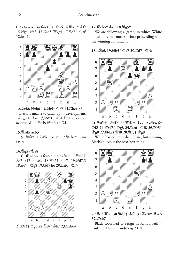$(13.c4+-$  is also fine)  $13...\&2a6$  14. $\text{Zhe1}$ †  $\text{Ef7}$ 15. 曾g4 曾c8 16. Exd5 曾xg4 17. Ed7† g6 18.hxg4+–



**12.¥xb8 £xb8 13.¥b5† ¢e7 14.¦he1 a6** 

Black is unable to catch up in development. 14...g6 15. Exd5  $k$ h6† 16. $\Phi$ b1 Ed8 is too slow in view of: 17. $\frac{8}{3}$ xd8  $\frac{18}{3}$ d8 18. $\frac{8}{3}$ d1+–

#### **15.£xd5 axb5**

15... 曾f4† 16. hb1 axb5 17. 曾xb7† wins easily.

#### **16.£g5† ¢e8**

16...f6 allows a forced mate after: 17. $\mathbb{E}$ xe6†! ¢f7 (17...¢xe6 18.£d5† ¢e7 19.£d7#) 18. d7† g8 19. 曾d5 h6 20. Exf6† h7



21. se4† g8 22. 曾e6† gh7 23. Exh6#

#### **17.£xb5† ¢e7 18.£g5†**

We are following a game, in which White opted to repeat moves before proceeding with the winning continuation.

**18...¢e8 19.£b5† ¢e7 20.¦d7† ¢f6** 



**21.¦xf7†! ¢xf7 22.£d7† ¥e7 23.£xe6† ¢f8 24.£xe7† ¢g8 25.£e6† ¢f8 26.£f5† ¢g8 27.£d5† ¢f8 28.£f5† ¢g8** 

White has no immediate mate, but winning Black's queen is the next best thing.



**29.¦e7 £e8 30.£d5† ¢f8 31.¦xe8† ¦xe8 32.£xb7** 

Black soon had to resign in R. Horvath – Fauland, Deutschlandsberg 2018.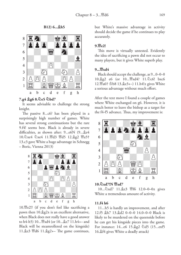**B12) 6...¥h5** 



#### **7.g4 ¥g6 8.¤e5 ¤bd7**

It seems advisable to challenge the strong knight.

The passive 8...c6? has been played in a surprisingly high number of games. White has several strong continuations but the rare 9.f4! seems best. Black is already in severe difficulties, as shown after: 9...e6N (9... ge4 10.4xe4 4xe4 11. d3 Md5 12. g2 Ma5+ 13.c3 gave White a huge advantage in Schnegg – Boric, Vienna 2013)



10. [e2!? (if you don't feel like sacrificing a pawn then  $10.\angle 2\pm 1$  is an excellent alternative, when Black does not really have a good answer to h4-h5) 10...£xd4 (or 10...¥e7 11.h4+– and Black will be steamrollered on the kingside) 11. $\&e3 \text{ }\n\text{ }\n\text{ }\n\text{ }\n\text{ }\n\text{ }\n\text{ }$ d6 11. $\&g2+-$  The game continues,

but White's massive advantage in activity should decide the game if he continues to play accurately.

#### **9.£e2!**

This move is virtually untested. Evidently the idea of sacrificing a pawn did not occur to many players, but it gives White superb play.

#### **9...£xd4**

Black should accept the challenge, as 9...0–0–0 10. g2 e6 (or 10... \call 4? 11. \calcoting bxc6 12.£a6† ¢b8 13.¥e3+–) 11.h4!± gives White a serious advantage without much effort.

After the text move I found a couple of games where White exchanged on g6. However, it is much better to leave the bishop as a target for the f4-f5 advance. Thus, my improvement is:



#### **10.¤xd7!N £xd7**

10... ∆xd7 11. & e3 \ff6 12.0–0–0± gives White a tremendous amount of activity.

#### **11.f4 h6**

11...h5 is hardly an improvement, and after 12.f5 ¥h7 13.¥d2 0–0–0 14.0–0–0 Black is likely to be murdered on the queenside before he can get his kingside pieces into the game. For instance: 14...e6 15. g2 2d5 (15...exf5) 16.¥f4 gives White a deadly attack)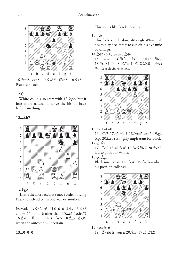

16. 2xd5 exd5 17. 2xd5! @xd5 18. 2g5!+-Black is busted.

#### **12.f5**

White could also start with 12. g2, but it feels more natural to drive the bishop back before anything else.

#### **12...¥h7**



#### **13.¥g2**

This is the most accurate move order, forcing Black to defend b7 in one way or another.

Instead, 13. d2 e6 14.0-0-0 åd6 15. åg2 allows 15...0–0! (rather than 15...c6 16.h4ƒ) 16. xb7  $\Xi$ ab8 17. fxe6 fxe6 18. \$g2 \$a3!? when the outcome is uncertain.

#### **13...0–0–0**

This seems like Black's best try.

13...c6

This feels a little slow, although White still has to play accurately to exploit his dynamic advantage.

14. d2 e6 15.0-0-0 gd6

15...0–0–0 16. 皆f2!? b6 17. g5 曾c7 18. xd8†  $\&$ xd8 19. Ud4†  $\&c8$  20.  $\&$ f4 gives White a decisive attack.



16.h4! 0–0–0

16... @e7 17.g5 \d5 18. \d5 cxd5 19.g6 fxg6 20.fxe6± is highly unpleasant for Black.  $17.95 \text{ }\, ^{2}$ d5

17... De8 18.g6 fxg6 19.fxe6  $\mathbb{Z}$ e7 20. De41 is also good for White.

 $18.96$   $gg8$ 

Black must avoid 18...fxg6? 19.fxe6+– when his position collapses.



19.fxe6 fxe6

19... 曾xe6? is worse: 20. gh3 f5 21. 曾f2!+-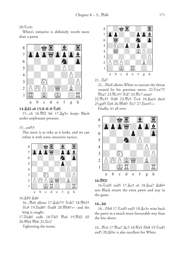#### $20.6$ e4±

White's initiative is definitely worth more than a pawn.



#### **14.¥d2 e6 15.0–0–0 ¤d5**

15...c6 16. 哲2 b6 17. g5± keeps Black under unpleasant pressure.

#### 15...exf5?!

This more is as risky as it looks, and we can refute it with some attractive tactics:



16.¥f4! ¥d6

16... \cdows 17. \cdows 17. \cdots xb7 18. \cdots b5+ ¢c8 19.¦xd8† ¢xd8 20.£b8†+– and the king is caught.

17. Exd6! cxd6 18. 2b5 曾e6 19. 曾d2 d5 20.營b4 暨b6 21.罝e1!

Tightening the noose.



21...<sub></sub>骂d7

21...<sup><sup>2</sup>he8 allows White to execute the threat</sup> created by his previous move:  $22.\text{\textdegree$\&23.7$}$ . <sup>幽</sup>xa7 23. 曾c3†! <br>d7 24. 曾c7 mate!

22. e3+ gd8 23. 曾e5 公e4 24. gxe4 dxe4 25.gxf5 盟e8 26. 皆b8† ge7 27. Exe4†+-

Finally, it's all over.



#### **16.£f2!**

16. 2xd5 exd5 17. 2e3 c6 18. 2xa7 2d6∞ sees Black return the extra pawn and stay in the game.

#### **16...b6**

16... \$b8 17. 2xd5 exd5 18. \$e3± wins back the pawn in a much more favourable way than the line above.

16... Wc6 17. Wxa7 gc5 18. Wa5 \$b8 19. 9xd5 exd5 20.¥f4± is also excellent for White.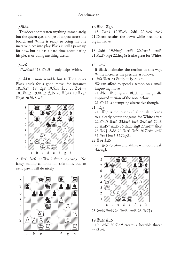#### **17.£d4!**

This does not threaten anything immediately, but the queen eyes a range of targets across the board, and White is ready to bring his one inactive piece into play. Black is still a pawn up for now, but he has a hard time coordinating his pieces or doing anything useful.

#### **17...c6**

17... 2xc3? 18. 2xc3+– only helps White.

 $17...\Phi$ b8 is more sensible but  $18.\%$ he1 leaves Black stuck for a good move, for instance: 18... ge7 (18... gg8 19. gf4 gc5 20. gc4+-; 18... 公xc3 19. 曾xc3 奥d6 20. 曾f3±) 19. 曾xg7 <sup>罩</sup>hg8 20. e5 gf6



 $21.$ fxe6 fxe6  $22.$  $\frac{10}{26}$ xe6  $\frac{10}{2}$ xc3  $23.$ bxc3 $\pm$  No fancy mating combination this time, but an extra pawn will do nicely.



#### **18.¦he1 ¦g8**

18... 2xc3 19. xc3 & d6 20. fxe6 fxe6  $21.\n$ Exe6 $\pm$  regains the pawn while keeping a big initiative.

18... \$d6 19. \$xg7 exf5 20. 2xd5 cxd5 21.¥xd5 fxg4 22.hxg4± is also great for White.

#### 18...¢b7

If Black maintains the tension in this way, White increases the pressure as follows.

19. f4 曾c8 20. 公xd5 cxd5 21. a3!?

We can afford to spend a tempo on a small improving move.

 $21.\Phi b1 \cong c5$  gives Black a marginally improved version of the note below.

 $21$ . $4$ k $4$ !? is a tempting alternative though.

 $21...$  $g8$ 

21... <a><a>
"</a>
"</a>
"</a>
"</a>
revil although it leads to a clearly better endgame for White after: 22. Fxc5 gxc5 23.fxe6 fxe6 24. Exe6 Ehf8 25. &xd5†  $\mathbb{Z}$ xd5 26.  $\mathbb{Z}$ xd5 &g8 27.  $\mathbb{Z}$ d7†  $\mathbb{Z}$ c8 28. c7† 空d8 29. cc6 Exf4 30. c8† 空d7 31. Xxc5 bxc5 32. Xxg8±



 $22...$  $2c5$   $23.c4+-$  and White will soon break through.



23. xd6 国xd6 24. 国xd5! exd5 25. 国e7†+–

#### **19.£a4! ¥d6**

 $19...$  $b$ <sub>7</sub>  $20.\overline{6}$  e2! creates a horrible threat  $of c2-c4$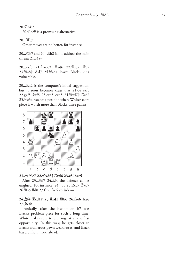#### **20. ¤e4!?**

20. $\Diamond$ e2!? is a promising alternative.

#### **20... £c7**

Other moves are no better, for instance:

20... ¢b7 and 20... ¥b8 fail to address the main threat: 21.c4+–

20…exf5 21.⁄2xd6† ™xd6 22.™xa7 ™c7 23. £a8† ¢d7 24. £a4± leaves Black's king vulnerable.

20... ¥h2 is the computer's initial suggestion, but it soon becomes clear that 21.c4 exf5 22.gxf5 ¥xf5 23.cxd5 cxd5 24. £xd7† ¦xd7 25. ¤c3± reaches a position where White's extra piece is worth more than Black's three pawns.



#### **21.c4 ¤e7 22. ¤xd6† ¦xd6 23.c5! bxc5**

After 23...<sub>8</sub>d7 24.奠f4 the defence comes unglued. For instance: 24...b5 25. axd7 ��xd7 26.營a5 骂d8 27.fxe6 fxe6 28.奠d6+–

#### **24. ¥f4 ¦xd1† 25. ¦xd1 £b6 26.fxe6 fxe6 27. ¥e4!±**

Ironically, after the bishop on h7 was Black's problem piece for such a long time, White makes sure to exchange it at the first opportunity! In this way, he gets closer to Black's numerous pawn weaknesses, and Black has a difficult road ahead.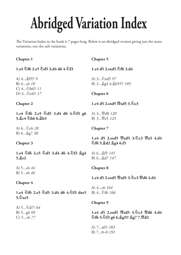# **Abridged Variation Index**

The Variation Index in the book is 7 pages long. Below is an abridged version giving just the main variations, not the sub-variations.

| Chapter 1                                                        | Chapter 5                                                                                              |  |
|------------------------------------------------------------------|--------------------------------------------------------------------------------------------------------|--|
| 1.e4 9f6 2.e5 9d5 3.d4 d6 4.9f3                                  | 1.e4 d5 2.exd5 $\&$ f6 3.d4                                                                            |  |
| A) 4…夐f5!? <i>9</i><br>B) 4c6 10<br>C) 4 2b6 !? 11               | A) 3 2xd5 97<br>B) 3 g4 4. gb5† !? 105                                                                 |  |
| D) $4\&0c6!!17$                                                  | Chapter 6                                                                                              |  |
| <b>Chapter 2</b>                                                 | 1.e4 d5 2.exd5 $\mathcal{H}$ xd5 3. $\mathcal{Q}$ c3                                                   |  |
| 1.e4 2f6 2.e5 2d5 3.d4 d6 4.2f3 g6<br>5. gc4 Db6 6. gb3          | A) 3 幽d8 120<br>B) 3 曾a5 123                                                                           |  |
| A) 6��c6 28                                                      | Chapter 7                                                                                              |  |
| B) $6$ $\&g730$<br>Chapter 3                                     | 1.e4 d5 2.exd5 $\mathcal{L}$ xd5 3. $\mathcal{L}$ c3 $\mathcal{L}$ a5 4.d4<br>විf6 5. දී d2 දී g4 6.f3 |  |
| 1.e4 $\&$ f6 2.e5 $\&$ d5 3.d4 d6 4. $\&$ f3 $\&$ g4<br>$5.\&e2$ | A) 6 鱼f5 145<br>B) 6 gd7 147                                                                           |  |
| A) 5c6 44                                                        | Chapter 8                                                                                              |  |
| B) 5e6 46                                                        | 1.e4 d5 2.exd5 曾xd5 3. 仑c3 曾d6 4.d4                                                                    |  |
| Chapter 4                                                        |                                                                                                        |  |
| 1.e4 $\&$ f6 2.e5 $\&$ d5 3.d4 d6 4. $\&$ f3 dxe5<br>5. $\&$ xe5 | A) 4c6 164<br>B) $4\&6$ 166                                                                            |  |
|                                                                  | Chapter 9                                                                                              |  |
| A) 5…��d7? 64                                                    |                                                                                                        |  |
| B) $5g669$<br>C) 5c6 77                                          | 1.e4 d5 2.exd5 營xd5 3. c3 營d6 4.d4<br><u> වාf6 5.වාf3 g6 6.ஜ</u> . දු. දු. 27 7. ප්රැ                  |  |
|                                                                  | A) 7a6!? 183<br>B) $70-0$ 191                                                                          |  |
|                                                                  |                                                                                                        |  |